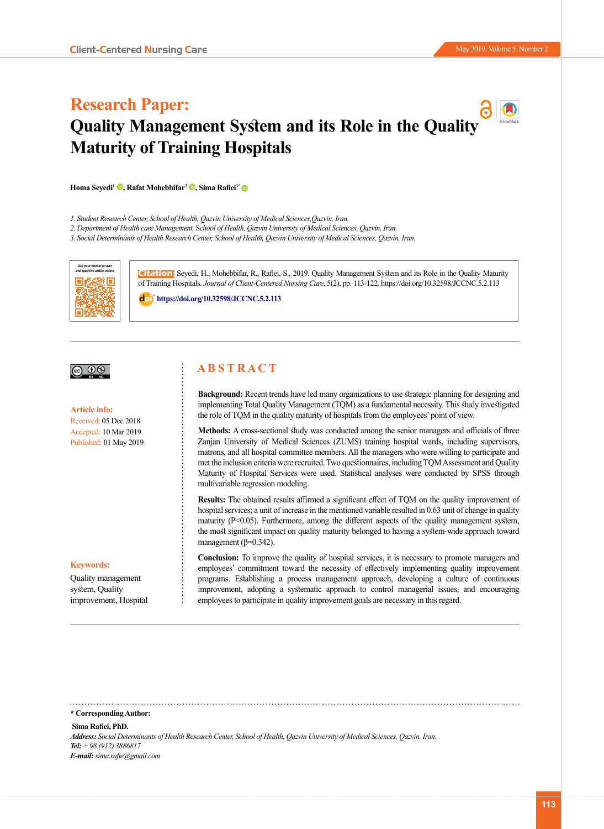# **Research Paper: Quality Management System and its Role in the Qualit[y](http://jccnc.iums.ac.ir/page/119/Open-Access-Policy)  Maturity of Training Hospitals**

**Homa Seyedi1 [,](https://orcid.org/0000-0003-4843-6965) Rafat Mohebbifar2 [,](https://orcid.org/0000-0001-6243-6502) Sima Rafiei3[\\*](https://orcid.org/0000-0002-7502-7078)** 

- *1. Student Research Center, School of Health, Qazvin University of Medical Sciences,Qazvin, Iran.*
- *2. Department of Health care Management,* S*chool of Health, Qazvin University of Medical Sciences, Qazvin, Iran.*

*3. Social Determinants of Health Research Center, School of Health, Qazvin University of Medical Sciences, Qazvin, Iran.* 



**Citation:** Seyedi, H., Mohebbifar, R., Rafiei, S., 2019. Quality Management System and its Role in the Quality Maturity of Training Hospitals. *Journal of Client-Centered Nursing Care*, 5(2), pp. 113-122. https://doi.org/10.32598/JCCNC.5.2.113

: **<https://doi.org/10.32598/JCCNC.5.2.113>**

# $\circledcirc$

**Article info:** Received: 05 Dec 2018 Accepted: 10 Mar 2019 Published: 01 May 2019

#### **Keywords:**

Quality management system, Quality improvement, Hospital

# **A B S T R A C T**

**Background:** Recent trends have led many organizations to use strategic planning for designing and implementing Total Quality Management (TQM) as a fundamental necessity. This study investigated the role of TQM in the quality maturity of hospitals from the employees' point of view.

**Methods:** A cross-sectional study was conducted among the senior managers and officials of three Zanjan University of Medical Sciences (ZUMS) training hospital wards, including supervisors, matrons, and all hospital committee members. All the managers who were willing to participate and met the inclusion criteria were recruited. Two questionnaires, including TQM Assessment and Quality Maturity of Hospital Services were used. Statistical analyses were conducted by SPSS through multivariable regression modeling.

**Results:** The obtained results affirmed a significant effect of TQM on the quality improvement of hospital services; a unit of increase in the mentioned variable resulted in 0.63 unit of change in quality maturity (P<0.05). Furthermore, among the different aspects of the quality management system, the most significant impact on quality maturity belonged to having a system-wide approach toward management ( $\beta$ =0.342).

**Conclusion:** To improve the quality of hospital services, it is necessary to promote managers and employees' commitment toward the necessity of effectively implementing quality improvement programs. Establishing a process management approach, developing a culture of continuous improvement, adopting a systematic approach to control managerial issues, and encouraging employees to participate in quality improvement goals are necessary in this regard.

**\* Corresponding Author:**

#### **Sima Rafiei, PhD.**

*Address: Social Determinants of Health Research Center, School of Health, Qazvin University of Medical Sciences, Qazvin, Iran. Tel: + 98 (912) 3886817 E-mail: sima.rafie@gmail.com*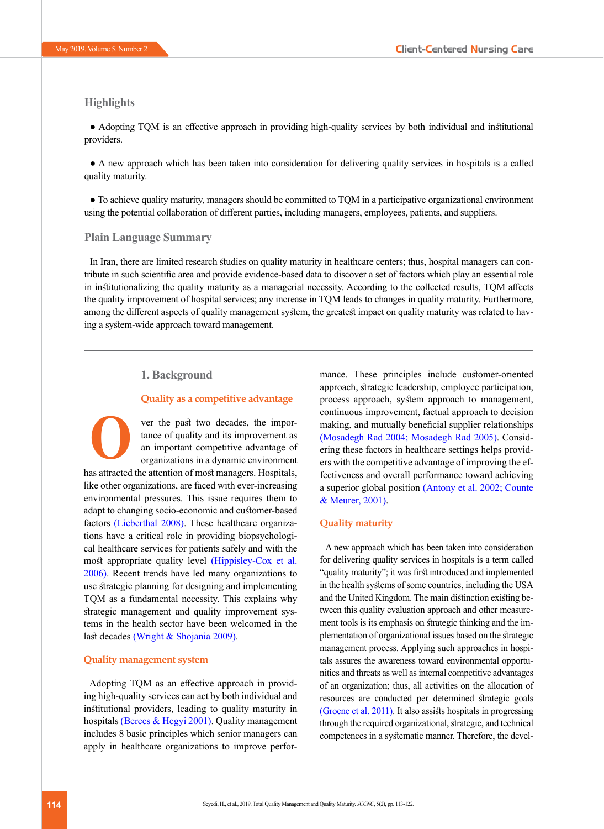# **Highlights**

● Adopting TQM is an effective approach in providing high-quality services by both individual and institutional providers.

● A new approach which has been taken into consideration for delivering quality services in hospitals is a called quality maturity.

● To achieve quality maturity, managers should be committed to TQM in a participative organizational environment using the potential collaboration of different parties, including managers, employees, patients, and suppliers.

#### **Plain Language Summary**

In Iran, there are limited research studies on quality maturity in healthcare centers; thus, hospital managers can contribute in such scientific area and provide evidence-based data to discover a set of factors which play an essential role in institutionalizing the quality maturity as a managerial necessity. According to the collected results, TQM affects the quality improvement of hospital services; any increase in TQM leads to changes in quality maturity. Furthermore, among the different aspects of quality management system, the greatest impact on quality maturity was related to having a system-wide approach toward management.

# **1. Background**

## **Quality as a competitive advantage**

ver the past two decades, the importance of quality and its improvement as an important competitive advantage of organizations in a dynamic environment has attracted the attention of most managers. Hospitals, like other organizations, are faced with ever-increasing environmental pressures. This issue requires them to adapt to changing socio-economic and customer-based factors (Lieberthal 2008). These healthcare organizations have a critical role in providing biopsychological healthcare services for patients safely and with the most appropriate quality level [\(Hippisley-Cox et al.](#page-9-0) [2006\)](#page-9-0). Recent trends have led many organizations to use strategic planning for designing and implementing TQM as a fundamental necessity. This explains why strategic management and quality improvement systems in the health sector have been welcomed in the last decades [\(Wright & Shojania 2009\)](#page-9-1). **O**

#### **Quality management system**

Adopting TQM as an effective approach in providing high-quality services can act by both individual and institutional providers, leading to quality maturity in hospitals [\(Berces & Hegyi 2001\)](http://www.ncbi.nlm.nih.gov/pmc/articles/PMC4066308). Quality management includes 8 basic principles which senior managers can apply in healthcare organizations to improve perfor-

mance. These principles include customer-oriented approach, strategic leadership, employee participation, process approach, system approach to management, continuous improvement, factual approach to decision making, and mutually beneficial supplier relationships (Mosadegh Rad 2004; [Mosadegh Rad 2005\).](#page-9-2) Considering these factors in healthcare settings helps providers with the competitive advantage of improving the effectiveness and overall performance toward achieving a superior global position [\(Antony et al. 2002;](#page-8-0) [Counte](#page-9-3)  [& Meurer, 2001\)](#page-9-3).

#### **Quality maturity**

A new approach which has been taken into consideration for delivering quality services in hospitals is a term called "quality maturity"; it was first introduced and implemented in the health systems of some countries, including the USA and the United Kingdom. The main distinction existing between this quality evaluation approach and other measurement tools is its emphasis on strategic thinking and the implementation of organizational issues based on the strategic management process. Applying such approaches in hospitals assures the awareness toward environmental opportunities and threats as well as internal competitive advantages of an organization; thus, all activities on the allocation of resources are conducted per determined strategic goals (Groene et al. 2011). It also assists hospitals in progressing through the required organizational, strategic, and technical competences in a systematic manner. Therefore, the devel-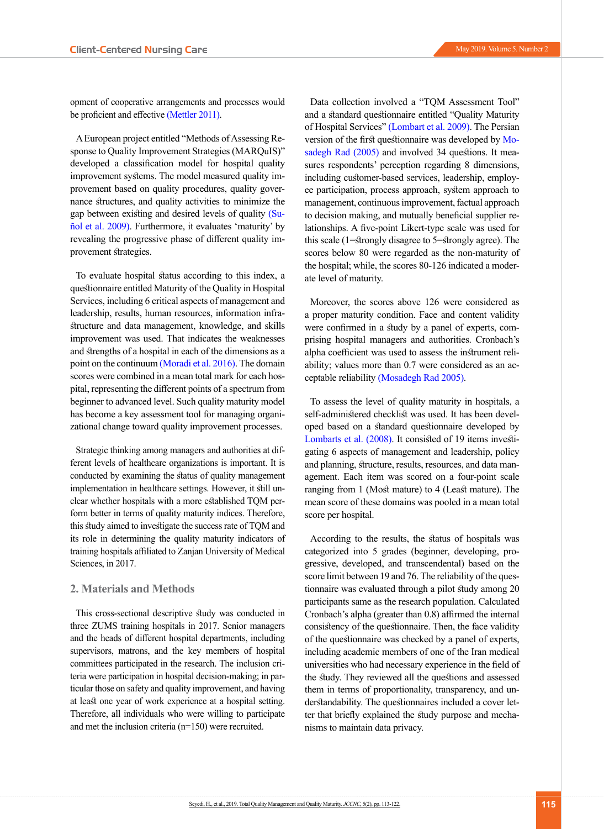A European project entitled "Methods of Assessing Response to Quality Improvement Strategies (MARQuIS)" developed a classification model for hospital quality improvement systems. The model measured quality improvement based on quality procedures, quality governance structures, and quality activities to minimize the gap between existing and desired levels of quality (Suñol et al. 2009). Furthermore, it evaluates 'maturity' by revealing the progressive phase of different quality improvement strategies.

To evaluate hospital status according to this index, a questionnaire entitled Maturity of the Quality in Hospital Services, including 6 critical aspects of management and leadership, results, human resources, information infrastructure and data management, knowledge, and skills improvement was used. That indicates the weaknesses and strengths of a hospital in each of the dimensions as a point on the continuum [\(Moradi et al. 2016\)](#page-9-5). The domain scores were combined in a mean total mark for each hospital, representing the different points of a spectrum from beginner to advanced level. Such quality maturity model has become a key assessment tool for managing organizational change toward quality improvement processes.

Strategic thinking among managers and authorities at different levels of healthcare organizations is important. It is conducted by examining the status of quality management implementation in healthcare settings. However, it still unclear whether hospitals with a more established TQM perform better in terms of quality maturity indices. Therefore, this study aimed to investigate the success rate of TQM and its role in determining the quality maturity indicators of training hospitals affiliated to Zanjan University of Medical Sciences, in 2017.

#### **2. Materials and Methods**

This cross-sectional descriptive study was conducted in three ZUMS training hospitals in 2017. Senior managers and the heads of different hospital departments, including supervisors, matrons, and the key members of hospital committees participated in the research. The inclusion criteria were participation in hospital decision-making; in particular those on safety and quality improvement, and having at least one year of work experience at a hospital setting. Therefore, all individuals who were willing to participate and met the inclusion criteria (n=150) were recruited.

Data collection involved a "TQM Assessment Tool" and a standard questionnaire entitled "Quality Maturity of Hospital Services" (Lombart et al. 2009). The Persian version of the first questionnaire was developed by [Mo](#page-9-6)[sadegh Rad \(2005\)](#page-9-6) and involved 34 questions. It measures respondents' perception regarding 8 dimensions, including customer-based services, leadership, employee participation, process approach, system approach to management, continuous improvement, factual approach to decision making, and mutually beneficial supplier relationships. A five-point Likert-type scale was used for this scale (1=strongly disagree to 5=strongly agree). The scores below 80 were regarded as the non-maturity of the hospital; while, the scores 80-126 indicated a moderate level of maturity.

Moreover, the scores above 126 were considered as a proper maturity condition. Face and content validity were confirmed in a study by a panel of experts, comprising hospital managers and authorities. Cronbach's alpha coefficient was used to assess the instrument reliability; values more than 0.7 were considered as an acceptable reliability [\(Mosadegh Rad 2005\)](#page-9-6).

To assess the level of quality maturity in hospitals, a self-administered checklist was used. It has been developed based on a standard questionnaire developed by Lombarts et al. (2008). It consisted of 19 items investigating 6 aspects of management and leadership, policy and planning, structure, results, resources, and data management. Each item was scored on a four-point scale ranging from 1 (Most mature) to 4 (Least mature). The mean score of these domains was pooled in a mean total score per hospital.

According to the results, the status of hospitals was categorized into 5 grades (beginner, developing, progressive, developed, and transcendental) based on the score limit between 19 and 76. The reliability of the questionnaire was evaluated through a pilot study among 20 participants same as the research population. Calculated Cronbach's alpha (greater than 0.8) affirmed the internal consistency of the questionnaire. Then, the face validity of the questionnaire was checked by a panel of experts, including academic members of one of the Iran medical universities who had necessary experience in the field of the study. They reviewed all the questions and assessed them in terms of proportionality, transparency, and understandability. The questionnaires included a cover letter that briefly explained the study purpose and mechanisms to maintain data privacy.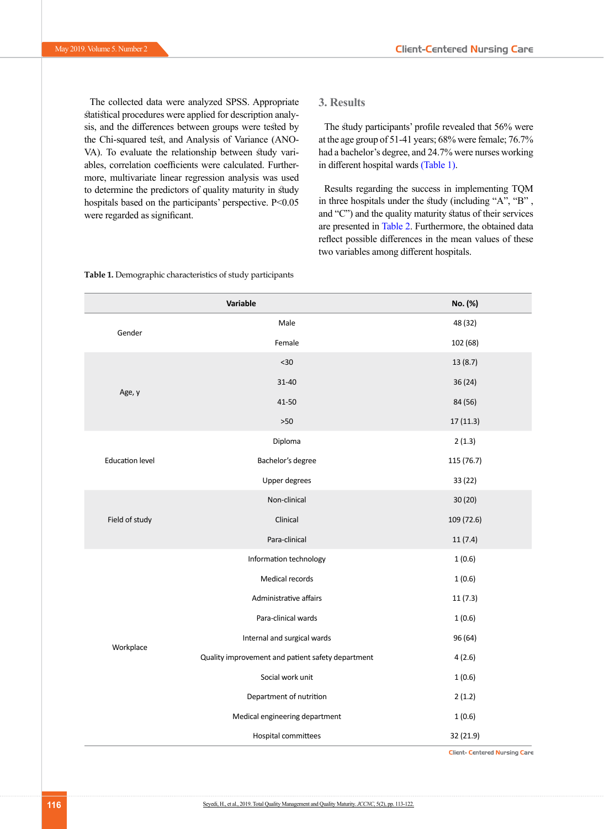The collected data were analyzed SPSS. Appropriate statistical procedures were applied for description analysis, and the differences between groups were tested by the Chi-squared test, and Analysis of Variance (ANO-VA). To evaluate the relationship between study variables, correlation coefficients were calculated. Furthermore, multivariate linear regression analysis was used to determine the predictors of quality maturity in study hospitals based on the participants' perspective. P<0.05 were regarded as significant.

# **3. Results**

The study participants' profile revealed that 56% were at the age group of 51-41 years; 68% were female; 76.7% had a bachelor's degree, and 24.7% were nurses working in different hospital wards [\(Table 1\)](#page-3-0).

Results regarding the success in implementing TQM in three hospitals under the study (including "A", "B" , and "C") and the quality maturity status of their services are presented in [Table 2](#page-4-0). Furthermore, the obtained data reflect possible differences in the mean values of these two variables among different hospitals.

|                        | No. (%)                                           |            |
|------------------------|---------------------------------------------------|------------|
| Gender                 | Male                                              | 48 (32)    |
|                        | Female                                            | 102 (68)   |
|                        | $30$                                              | 13(8.7)    |
|                        | $31 - 40$                                         | 36(24)     |
| Age, y                 | 41-50                                             | 84 (56)    |
|                        | $>50$                                             | 17(11.3)   |
|                        | Diploma                                           | 2(1.3)     |
| <b>Education level</b> | Bachelor's degree                                 | 115 (76.7) |
|                        | <b>Upper degrees</b>                              | 33 (22)    |
|                        | Non-clinical                                      | 30 (20)    |
| Field of study         | Clinical                                          | 109 (72.6) |
|                        | Para-clinical                                     | 11(7.4)    |
|                        | Information technology                            | 1(0.6)     |
|                        | Medical records                                   | 1(0.6)     |
|                        | Administrative affairs                            | 11(7.3)    |
|                        | Para-clinical wards                               | 1(0.6)     |
| Workplace              | Internal and surgical wards                       | 96 (64)    |
|                        | Quality improvement and patient safety department | 4(2.6)     |
|                        | Social work unit                                  | 1(0.6)     |
|                        | Department of nutrition                           | 2(1.2)     |
|                        | Medical engineering department                    | 1(0.6)     |
|                        | Hospital committees                               | 32 (21.9)  |

<span id="page-3-0"></span>**Table 1.** Demographic characteristics of study participants

**Client- Centered Nursing Care**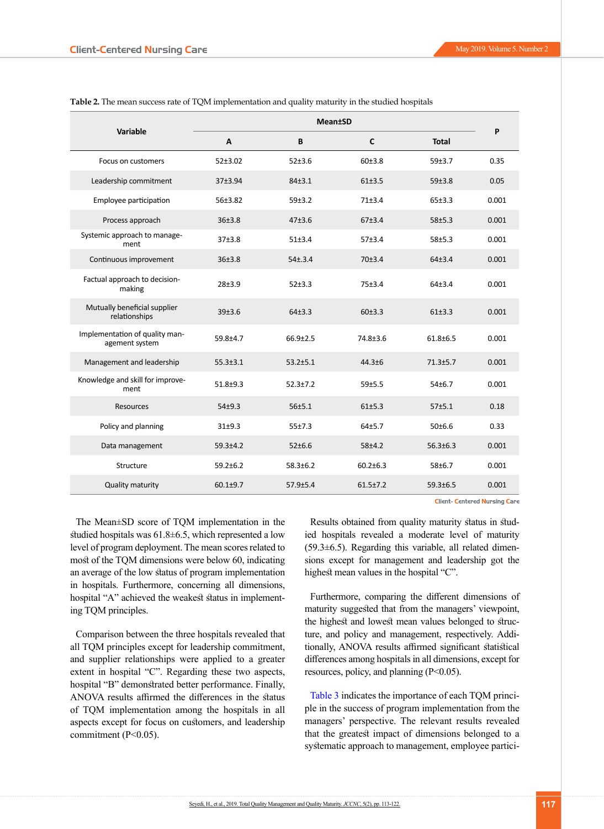| Variable                                         | <b>Mean</b> <sup>t</sup> SD |                |                |                |       |  |
|--------------------------------------------------|-----------------------------|----------------|----------------|----------------|-------|--|
|                                                  | A                           | B              | $\mathsf{C}$   | <b>Total</b>   | P     |  |
| Focus on customers                               | 52±3.02                     | 52±3.6         | 60±3.8         | 59±3.7         | 0.35  |  |
| Leadership commitment                            | 37±3.94                     | $84 + 3.1$     | 61±3.5         | 59±3.8         | 0.05  |  |
| Employee participation                           | 56±3.82                     | 59±3.2         | 71±3.4         | 65±3.3         | 0.001 |  |
| Process approach                                 | 36±3.8                      | 47±3.6         | 67±3.4         | 58±5.3         | 0.001 |  |
| Systemic approach to manage-<br>ment             | $37 + 3.8$                  | 51±3.4         | 57±3.4         | $58 + 5.3$     | 0.001 |  |
| Continuous improvement                           | 36±3.8                      | $54 \pm .3.4$  | 70±3.4         | 64±3.4         | 0.001 |  |
| Factual approach to decision-<br>making          | $28 + 3.9$                  | 52±3.3         | 75±3.4         | $64+3.4$       | 0.001 |  |
| Mutually beneficial supplier<br>relationships    | 39±3.6                      | 64±3.3         | 60±3.3         | 61±3.3         | 0.001 |  |
| Implementation of quality man-<br>agement system | 59.8±4.7                    | $66.9 \pm 2.5$ | 74.8±3.6       | $61.8 \pm 6.5$ | 0.001 |  |
| Management and leadership                        | $55.3 \pm 3.1$              | $53.2 \pm 5.1$ | $44.3 + 6$     | $71.3 \pm 5.7$ | 0.001 |  |
| Knowledge and skill for improve-<br>ment         | $51.8 + 9.3$                | $52.3 \pm 7.2$ | 59±5.5         | 54±6.7         | 0.001 |  |
| Resources                                        | $54 + 9.3$                  | 56±5.1         | 61±5.3         | $57 + 5.1$     | 0.18  |  |
| Policy and planning                              | $31+9.3$                    | 55±7.3         | $64+5.7$       | 50±6.6         | 0.33  |  |
| Data management                                  | $59.3 + 4.2$                | 52±6.6         | $58 + 4.2$     | $56.3 \pm 6.3$ | 0.001 |  |
| Structure                                        | $59.2 \pm 6.2$              | $58.3 \pm 6.2$ | $60.2 \pm 6.3$ | $58 + 6.7$     | 0.001 |  |
| Quality maturity                                 | $60.1 + 9.7$                | $57.9 \pm 5.4$ | $61.5 \pm 7.2$ | 59.3±6.5       | 0.001 |  |

<span id="page-4-0"></span>**Table 2.** The mean success rate of TQM implementation and quality maturity in the studied hospitals

The Mean±SD score of TQM implementation in the studied hospitals was  $61.8 \pm 6.5$ , which represented a low level of program deployment. The mean scores related to most of the TQM dimensions were below 60, indicating an average of the low status of program implementation in hospitals. Furthermore, concerning all dimensions, hospital "A" achieved the weakest status in implement-

Comparison between the three hospitals revealed that all TQM principles except for leadership commitment, and supplier relationships were applied to a greater extent in hospital "C". Regarding these two aspects, hospital "B" demonstrated better performance. Finally, ANOVA results affirmed the differences in the status of TQM implementation among the hospitals in all aspects except for focus on customers, and leadership commitment (P<0.05).

ing TQM principles.

Results obtained from quality maturity status in studied hospitals revealed a moderate level of maturity (59.3±6.5). Regarding this variable, all related dimensions except for management and leadership got the highest mean values in the hospital "C".

Furthermore, comparing the different dimensions of maturity suggested that from the managers' viewpoint, the highest and lowest mean values belonged to structure, and policy and management, respectively. Additionally, ANOVA results affirmed significant statistical differences among hospitals in all dimensions, except for resources, policy, and planning (P<0.05).

Table 3 indicates the importance of each TQM principle in the success of program implementation from the managers' perspective. The relevant results revealed that the greatest impact of dimensions belonged to a systematic approach to management, employee partici-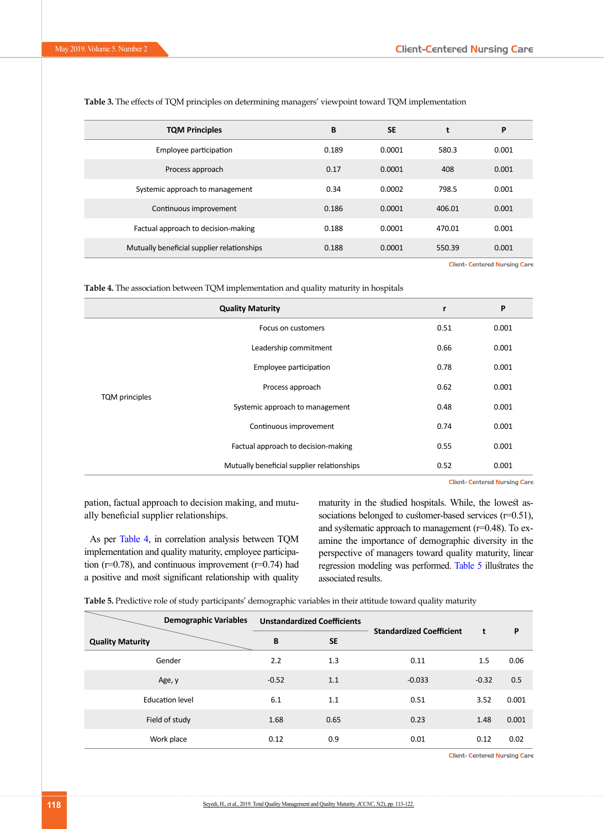| <b>TQM Principles</b>                      | B     | <b>SE</b> |        | P     |
|--------------------------------------------|-------|-----------|--------|-------|
| Employee participation                     | 0.189 | 0.0001    | 580.3  | 0.001 |
| Process approach                           | 0.17  | 0.0001    | 408    | 0.001 |
| Systemic approach to management            | 0.34  | 0.0002    | 798.5  | 0.001 |
| Continuous improvement                     | 0.186 | 0.0001    | 406.01 | 0.001 |
| Factual approach to decision-making        | 0.188 | 0.0001    | 470.01 | 0.001 |
| Mutually beneficial supplier relationships | 0.188 | 0.0001    | 550.39 | 0.001 |

**Table 3.** The effects of TQM principles on determining managers' viewpoint toward TQM implementation

**Client- Centered Nursing Care** 

<span id="page-5-0"></span>

| <b>Table 4.</b> The association between TQM implementation and quality maturity in hospitals |  |  |  |  |
|----------------------------------------------------------------------------------------------|--|--|--|--|
|----------------------------------------------------------------------------------------------|--|--|--|--|

|                       | r                                          | P    |       |
|-----------------------|--------------------------------------------|------|-------|
|                       | Focus on customers                         | 0.51 | 0.001 |
|                       | Leadership commitment                      | 0.66 | 0.001 |
|                       | Employee participation                     | 0.78 | 0.001 |
|                       | Process approach                           | 0.62 | 0.001 |
| <b>TQM</b> principles | Systemic approach to management            | 0.48 | 0.001 |
|                       | Continuous improvement                     | 0.74 | 0.001 |
|                       | Factual approach to decision-making        | 0.55 | 0.001 |
|                       | Mutually beneficial supplier relationships | 0.52 | 0.001 |

**Client- Centered Nursing Care** 

pation, factual approach to decision making, and mutually beneficial supplier relationships.

As per [Table 4,](#page-5-0) in correlation analysis between TQM implementation and quality maturity, employee participation ( $r=0.78$ ), and continuous improvement ( $r=0.74$ ) had a positive and most significant relationship with quality maturity in the studied hospitals. While, the lowest associations belonged to customer-based services (r=0.51), and systematic approach to management (r=0.48). To examine the importance of demographic diversity in the perspective of managers toward quality maturity, linear regression modeling was performed. Table 5 illustrates the associated results.

**Table 5.** Predictive role of study participants' demographic variables in their attitude toward quality maturity

| <b>Demographic Variables</b> |         | <b>Unstandardized Coefficients</b> | <b>Standardized Coefficient</b> |         |       |  |
|------------------------------|---------|------------------------------------|---------------------------------|---------|-------|--|
| <b>Quality Maturity</b>      | B       | <b>SE</b>                          |                                 | t       | P     |  |
| Gender                       | 2.2     | 1.3                                | 0.11                            | 1.5     | 0.06  |  |
| Age, y                       | $-0.52$ | 1.1                                | $-0.033$                        | $-0.32$ | 0.5   |  |
| <b>Education level</b>       | 6.1     | 1.1                                | 0.51                            | 3.52    | 0.001 |  |
| Field of study               | 1.68    | 0.65                               | 0.23                            | 1.48    | 0.001 |  |
| Work place                   | 0.12    | 0.9                                | 0.01                            | 0.12    | 0.02  |  |

**Client- Centered Nursing Care**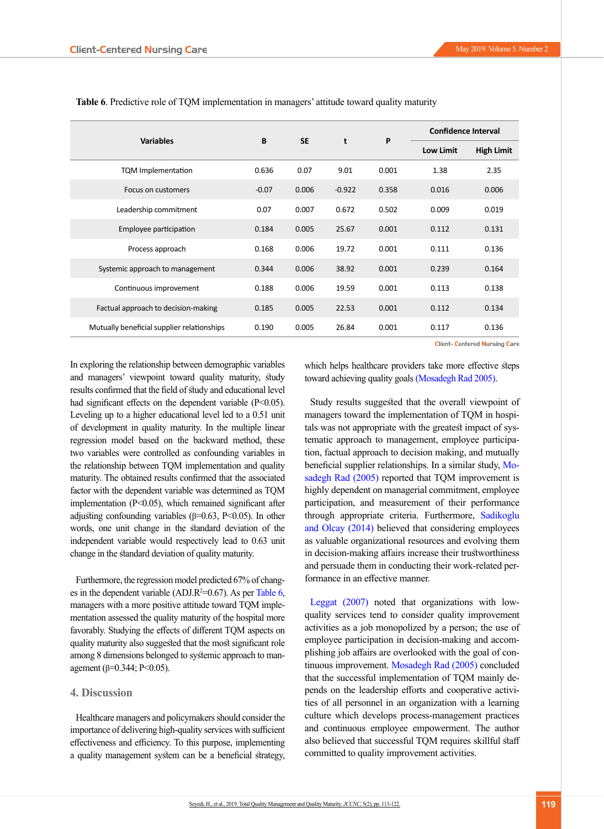|                                            |         | <b>SE</b> | t        | P     | <b>Confidence Interval</b> |                   |  |
|--------------------------------------------|---------|-----------|----------|-------|----------------------------|-------------------|--|
| <b>Variables</b>                           | B       |           |          |       | <b>Low Limit</b>           | <b>High Limit</b> |  |
| <b>TQM</b> Implementation                  | 0.636   | 0.07      | 9.01     | 0.001 | 1.38                       | 2.35              |  |
| Focus on customers                         | $-0.07$ | 0.006     | $-0.922$ | 0.358 | 0.016                      | 0.006             |  |
| Leadership commitment                      | 0.07    | 0.007     | 0.672    | 0.502 | 0.009                      | 0.019             |  |
| Employee participation                     | 0.184   | 0.005     | 25.67    | 0.001 | 0.112                      | 0.131             |  |
| Process approach                           | 0.168   | 0.006     | 19.72    | 0.001 | 0.111                      | 0.136             |  |
| Systemic approach to management            | 0.344   | 0.006     | 38.92    | 0.001 | 0.239                      | 0.164             |  |
| Continuous improvement                     | 0.188   | 0.006     | 19.59    | 0.001 | 0.113                      | 0.138             |  |
| Factual approach to decision-making        | 0.185   | 0.005     | 22.53    | 0.001 | 0.112                      | 0.134             |  |
| Mutually beneficial supplier relationships | 0.190   | 0.005     | 26.84    | 0.001 | 0.117                      | 0.136             |  |

**Table 6**. Predictive role of TQM implementation in managers' attitude toward quality maturity

**Client- Centered Nursing Care** 

In exploring the relationship between demographic variables and managers' viewpoint toward quality maturity, study results confirmed that the field of study and educational level had significant effects on the dependent variable (P<0.05). Leveling up to a higher educational level led to a 0.51 unit of development in quality maturity. In the multiple linear regression model based on the backward method, these two variables were controlled as confounding variables in the relationship between TQM implementation and quality maturity. The obtained results confirmed that the associated factor with the dependent variable was determined as TQM implementation (P<0.05), which remained significant after adjusting confounding variables ( $\beta$ =0.63, P<0.05). In other words, one unit change in the standard deviation of the independent variable would respectively lead to 0.63 unit change in the standard deviation of quality maturity.

Furthermore, the regression model predicted 67% of changes in the dependent variable (ADJ. $R^2=0.67$ ). As per Table 6, managers with a more positive attitude toward TQM implementation assessed the quality maturity of the hospital more favorably. Studying the effects of different TQM aspects on quality maturity also suggested that the most significant role among 8 dimensions belonged to systemic approach to management (β=0.344; P<0.05).

# **4. Discussion**

Healthcare managers and policymakers should consider the importance of delivering high-quality services with sufficient effectiveness and efficiency. To this purpose, implementing a quality management system can be a beneficial strategy,

which helps healthcare providers take more effective steps toward achieving quality goals [\(Mosadegh Rad 2005\)](#page-9-6).

Study results suggested that the overall viewpoint of managers toward the implementation of TQM in hospitals was not appropriate with the greatest impact of systematic approach to management, employee participation, factual approach to decision making, and mutually beneficial supplier relationships. In a similar study, [Mo](#page-9-6)[sadegh Rad \(2005\)](#page-9-6) reported that TQM improvement is highly dependent on managerial commitment, employee participation, and measurement of their performance through appropriate criteria. Furthermore, [Sadikoglu](#page-9-7)  [and Olcay \(2014\)](#page-9-7) believed that considering employees as valuable organizational resources and evolving them in decision-making affairs increase their trustworthiness and persuade them in conducting their work-related performance in an effective manner.

[Leggat \(2007\)](#page-9-8) noted that organizations with lowquality services tend to consider quality improvement activities as a job monopolized by a person; the use of employee participation in decision-making and accomplishing job affairs are overlooked with the goal of continuous improvement. [Mosadegh Rad \(2005\)](#page-9-2) concluded that the successful implementation of TQM mainly depends on the leadership efforts and cooperative activities of all personnel in an organization with a learning culture which develops process-management practices and continuous employee empowerment. The author also believed that successful TQM requires skillful staff committed to quality improvement activities.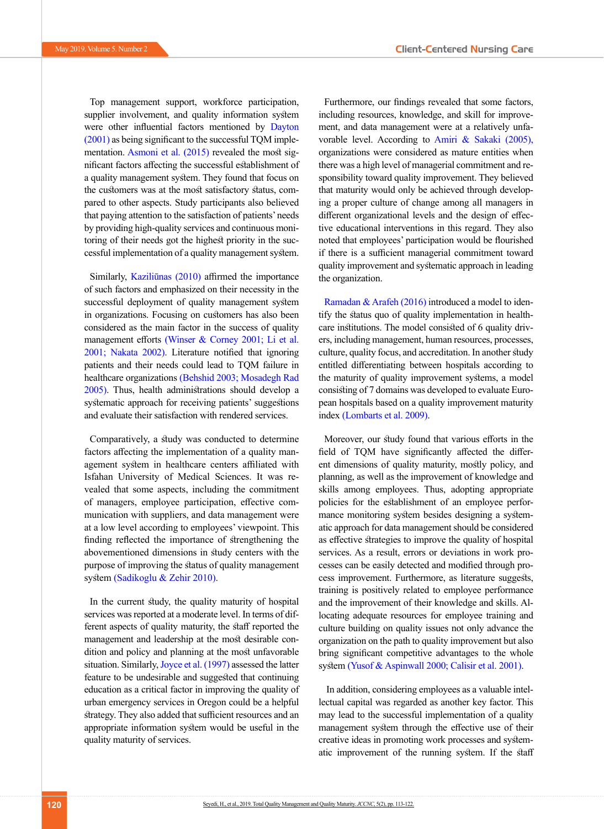Top management support, workforce participation, supplier involvement, and quality information system were other influential factors mentioned by Dayton [\(2001\)](#page-9-9) as being significant to the successful TQM imple-mentation. [Asmoni et al. \(2015\)](#page-9-10) revealed the most significant factors affecting the successful establishment of a quality management system. They found that focus on the customers was at the most satisfactory status, compared to other aspects. Study participants also believed that paying attention to the satisfaction of patients' needs by providing high-quality services and continuous monitoring of their needs got the highest priority in the successful implementation of a quality management system.

Similarly, Kaziliūnas (2010) affirmed the importance of such factors and emphasized on their necessity in the successful deployment of quality management system in organizations. Focusing on customers has also been considered as the main factor in the success of quality management efforts [\(Winser & Corney 2001;](#page-9-11) Li et al. 2001; Nakata 2002). Literature notified that ignoring patients and their needs could lead to TQM failure in healthcare organizations [\(Behshid 2003;](#page-9-12) [Mosadegh Rad](#page-9-2)  [2005\).](#page-9-2) Thus, health administrations should develop a systematic approach for receiving patients' suggestions and evaluate their satisfaction with rendered services.

Comparatively, a study was conducted to determine factors affecting the implementation of a quality management system in healthcare centers affiliated with Isfahan University of Medical Sciences. It was revealed that some aspects, including the commitment of managers, employee participation, effective communication with suppliers, and data management were at a low level according to employees' viewpoint. This finding reflected the importance of strengthening the abovementioned dimensions in study centers with the purpose of improving the status of quality management system [\(Sadikoglu & Zehir 2010\)](#page-9-13).

In the current study, the quality maturity of hospital services was reported at a moderate level. In terms of different aspects of quality maturity, the staff reported the management and leadership at the most desirable condition and policy and planning at the most unfavorable situation. Similarly, [Joyce et al. \(1997\)](#page-9-14) assessed the latter feature to be undesirable and suggested that continuing education as a critical factor in improving the quality of urban emergency services in Oregon could be a helpful strategy. They also added that sufficient resources and an appropriate information system would be useful in the quality maturity of services.

Furthermore, our findings revealed that some factors, including resources, knowledge, and skill for improvement, and data management were at a relatively unfavorable level. According to [Amiri & Sakaki \(2005\),](#page-8-1)  organizations were considered as mature entities when there was a high level of managerial commitment and responsibility toward quality improvement. They believed that maturity would only be achieved through developing a proper culture of change among all managers in different organizational levels and the design of effective educational interventions in this regard. They also noted that employees' participation would be flourished if there is a sufficient managerial commitment toward quality improvement and systematic approach in leading the organization.

[Ramadan & Arafeh \(2016\)](#page-9-15) introduced a model to identify the status quo of quality implementation in healthcare institutions. The model consisted of 6 quality drivers, including management, human resources, processes, culture, quality focus, and accreditation. In another study entitled differentiating between hospitals according to the maturity of quality improvement systems, a model consisting of 7 domains was developed to evaluate European hospitals based on a quality improvement maturity index (Lombarts et al. 2009).

Moreover, our study found that various efforts in the field of TQM have significantly affected the different dimensions of quality maturity, mostly policy, and planning, as well as the improvement of knowledge and skills among employees. Thus, adopting appropriate policies for the establishment of an employee performance monitoring system besides designing a systematic approach for data management should be considered as effective strategies to improve the quality of hospital services. As a result, errors or deviations in work processes can be easily detected and modified through process improvement. Furthermore, as literature suggests, training is positively related to employee performance and the improvement of their knowledge and skills. Allocating adequate resources for employee training and culture building on quality issues not only advance the organization on the path to quality improvement but also bring significant competitive advantages to the whole system [\(Yusof & Aspinwall 2000;](#page-9-16) [Calisir et al. 2001\)](#page-9-17).

 In addition, considering employees as a valuable intellectual capital was regarded as another key factor. This may lead to the successful implementation of a quality management system through the effective use of their creative ideas in promoting work processes and systematic improvement of the running system. If the staff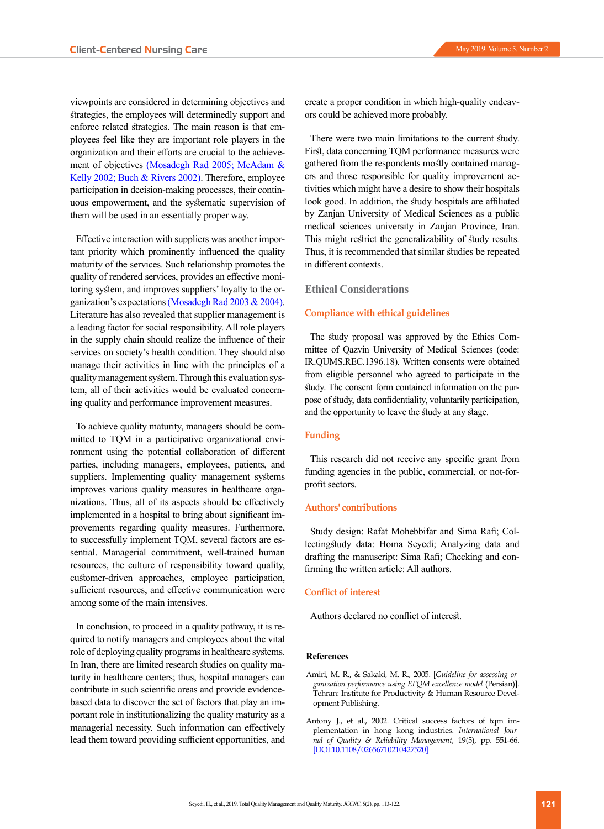viewpoints are considered in determining objectives and strategies, the employees will determinedly support and enforce related strategies. The main reason is that employees feel like they are important role players in the organization and their efforts are crucial to the achievement of objectives [\(Mosadegh Rad 2005;](#page-9-2) [McAdam &](#page-9-18)  [Kelly 2002](#page-9-18)[; Buch & Rivers 2002\)](#page-9-19). Therefore, employee participation in decision-making processes, their continuous empowerment, and the systematic supervision of them will be used in an essentially proper way.

Effective interaction with suppliers was another important priority which prominently influenced the quality maturity of the services. Such relationship promotes the quality of rendered services, provides an effective monitoring system, and improves suppliers' loyalty to the organization's expectations [\(Mosadegh Rad 2003 &](#page-9-6) 2004). Literature has also revealed that supplier management is a leading factor for social responsibility. All role players in the supply chain should realize the influence of their services on society's health condition. They should also manage their activities in line with the principles of a quality management system. Through this evaluation system, all of their activities would be evaluated concerning quality and performance improvement measures.

To achieve quality maturity, managers should be committed to TQM in a participative organizational environment using the potential collaboration of different parties, including managers, employees, patients, and suppliers. Implementing quality management systems improves various quality measures in healthcare organizations. Thus, all of its aspects should be effectively implemented in a hospital to bring about significant improvements regarding quality measures. Furthermore, to successfully implement TQM, several factors are essential. Managerial commitment, well-trained human resources, the culture of responsibility toward quality, customer-driven approaches, employee participation, sufficient resources, and effective communication were among some of the main intensives.

In conclusion, to proceed in a quality pathway, it is required to notify managers and employees about the vital role of deploying quality programs in healthcare systems. In Iran, there are limited research studies on quality maturity in healthcare centers; thus, hospital managers can contribute in such scientific areas and provide evidencebased data to discover the set of factors that play an important role in institutionalizing the quality maturity as a managerial necessity. Such information can effectively lead them toward providing sufficient opportunities, and create a proper condition in which high-quality endeavors could be achieved more probably.

There were two main limitations to the current study. First, data concerning TQM performance measures were gathered from the respondents mostly contained managers and those responsible for quality improvement activities which might have a desire to show their hospitals look good. In addition, the study hospitals are affiliated by Zanjan University of Medical Sciences as a public medical sciences university in Zanjan Province, Iran. This might restrict the generalizability of study results. Thus, it is recommended that similar studies be repeated in different contexts.

#### **Ethical Considerations**

#### **Compliance with ethical guidelines**

The study proposal was approved by the Ethics Committee of Qazvin University of Medical Sciences (code: IR.QUMS.REC.1396.18). Written consents were obtained from eligible personnel who agreed to participate in the study. The consent form contained information on the purpose of study, data confidentiality, voluntarily participation, and the opportunity to leave the study at any stage.

## **Funding**

This research did not receive any specific grant from funding agencies in the public, commercial, or not-forprofit sectors.

#### **Authors' contributions**

Study design: Rafat Mohebbifar and Sima Rafi; Collectingstudy data: Homa Seyedi; Analyzing data and drafting the manuscript: Sima Rafi; Checking and confirming the written article: All authors.

# **Conflict of interest**

Authors declared no conflict of interest.

#### **References**

- <span id="page-8-1"></span>Amiri, M. R., & Sakaki, M. R., 2005. [*Guideline for assessing organization performance using EFQM excellence model* (Persian)]. Tehran: Institute for Productivity & Human Resource Development Publishing.
- <span id="page-8-0"></span>Antony J., et al., 2002. Critical success factors of tqm implementation in hong kong industries. *International Journal of Quality & Reliability Management*, 19(5), pp. 551-66. [[DOI:10.1108/02656710210427520](https://doi.org/10.1108/02656710210427520)]